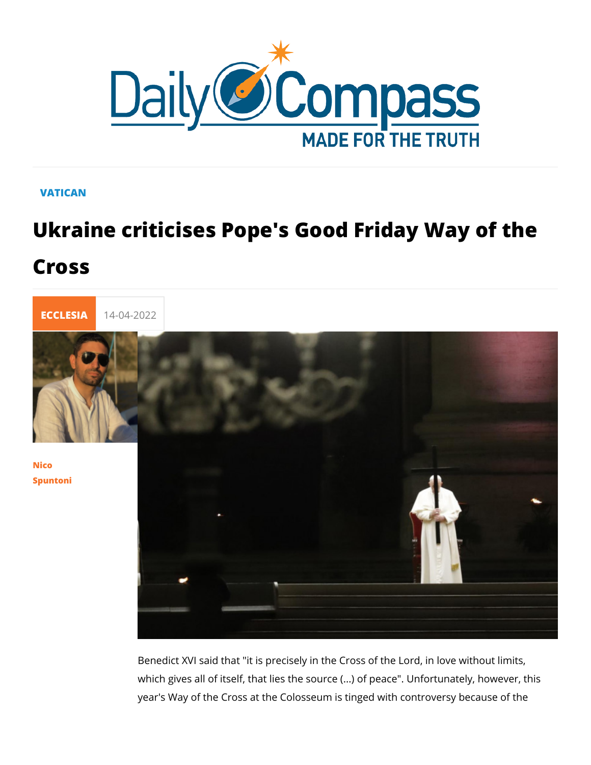## VATICAN

## Ukraine criticises Pope's Good Friday Cross



## [Nico](/en/nico-spuntoni-1) [Spunto](/en/nico-spuntoni-1)ni

Benedict XVI said that "it is precisely in the Cross of the Lord which gives all of itself, that lies the source (...) of peace". U year's Way of the Cross at the Colosseum is tinged with contro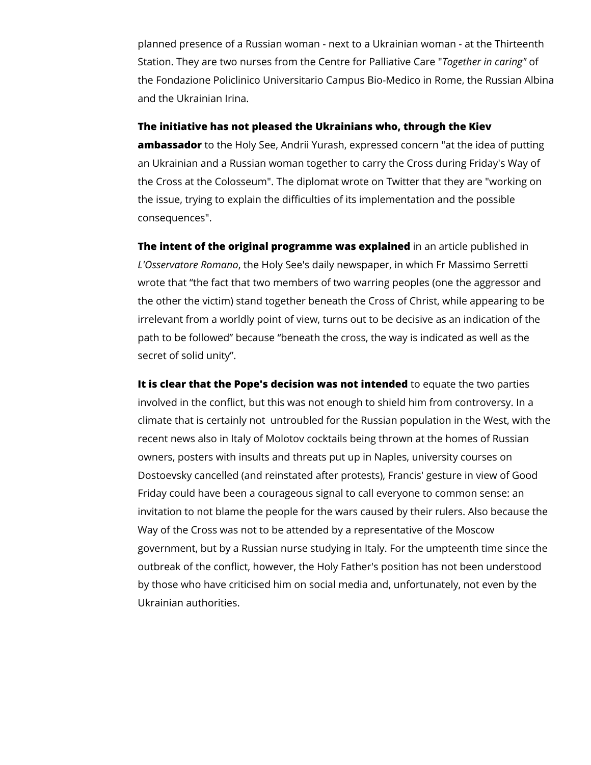planned presence of a Russian woman - next to a Ukrainian woman - at the Thirteenth Station. They are two nurses from the Centre for Palliative Care "*Together in caring"* of the Fondazione Policlinico Universitario Campus Bio-Medico in Rome, the Russian Albina and the Ukrainian Irina.

## **The initiative has not pleased the Ukrainians who, through the Kiev**

**ambassador** to the Holy See, Andrii Yurash, expressed concern "at the idea of putting an Ukrainian and a Russian woman together to carry the Cross during Friday's Way of the Cross at the Colosseum". The diplomat wrote on Twitter that they are "working on the issue, trying to explain the difficulties of its implementation and the possible consequences".

**The intent of the original programme was explained** in an article published in *L'Osservatore Romano*, the Holy See's daily newspaper, in which Fr Massimo Serretti wrote that "the fact that two members of two warring peoples (one the aggressor and the other the victim) stand together beneath the Cross of Christ, while appearing to be irrelevant from a worldly point of view, turns out to be decisive as an indication of the path to be followed" because "beneath the cross, the way is indicated as well as the secret of solid unity".

**It is clear that the Pope's decision was not intended** to equate the two parties involved in the conflict, but this was not enough to shield him from controversy. In a climate that is certainly not untroubled for the Russian population in the West, with the recent news also in Italy of Molotov cocktails being thrown at the homes of Russian owners, posters with insults and threats put up in Naples, university courses on Dostoevsky cancelled (and reinstated after protests), Francis' gesture in view of Good Friday could have been a courageous signal to call everyone to common sense: an invitation to not blame the people for the wars caused by their rulers. Also because the Way of the Cross was not to be attended by a representative of the Moscow government, but by a Russian nurse studying in Italy. For the umpteenth time since the outbreak of the conflict, however, the Holy Father's position has not been understood by those who have criticised him on social media and, unfortunately, not even by the Ukrainian authorities.